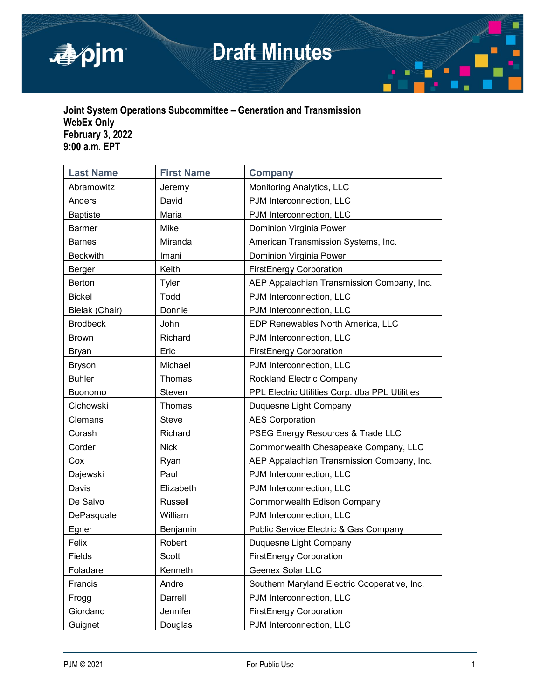

# **Draft Minutes**



# **Joint System Operations Subcommittee – Generation and Transmission WebEx Only February 3, 2022 9:00 a.m. EPT**

| <b>Last Name</b>                                  | <b>First Name</b>                                        | <b>Company</b>                               |  |
|---------------------------------------------------|----------------------------------------------------------|----------------------------------------------|--|
| Abramowitz                                        | Jeremy                                                   | Monitoring Analytics, LLC                    |  |
| Anders                                            | David                                                    | PJM Interconnection, LLC                     |  |
| <b>Baptiste</b>                                   | PJM Interconnection, LLC<br>Maria                        |                                              |  |
| <b>Barmer</b>                                     | Mike                                                     | Dominion Virginia Power                      |  |
| <b>Barnes</b>                                     | Miranda                                                  | American Transmission Systems, Inc.          |  |
| <b>Beckwith</b>                                   | Imani                                                    | Dominion Virginia Power                      |  |
| Berger                                            | Keith                                                    | <b>FirstEnergy Corporation</b>               |  |
| Berton                                            | Tyler                                                    | AEP Appalachian Transmission Company, Inc.   |  |
| <b>Bickel</b>                                     | Todd                                                     | PJM Interconnection, LLC                     |  |
| Bielak (Chair)                                    | Donnie                                                   | PJM Interconnection, LLC                     |  |
| <b>Brodbeck</b>                                   | John                                                     | EDP Renewables North America, LLC            |  |
| <b>Brown</b>                                      | Richard                                                  | PJM Interconnection, LLC                     |  |
| <b>Bryan</b>                                      | Eric                                                     | <b>FirstEnergy Corporation</b>               |  |
| <b>Bryson</b>                                     | Michael<br>PJM Interconnection, LLC                      |                                              |  |
| <b>Buhler</b>                                     | Thomas<br>Rockland Electric Company                      |                                              |  |
| <b>Buonomo</b>                                    | PPL Electric Utilities Corp. dba PPL Utilities<br>Steven |                                              |  |
| Cichowski                                         | Thomas                                                   | Duquesne Light Company                       |  |
| Clemans<br><b>Steve</b><br><b>AES Corporation</b> |                                                          |                                              |  |
| Corash                                            | PSEG Energy Resources & Trade LLC<br>Richard             |                                              |  |
| Corder                                            | <b>Nick</b><br>Commonwealth Chesapeake Company, LLC      |                                              |  |
| Cox                                               | Ryan                                                     | AEP Appalachian Transmission Company, Inc.   |  |
| Dajewski                                          | Paul                                                     | PJM Interconnection, LLC                     |  |
| Davis                                             | Elizabeth<br>PJM Interconnection, LLC                    |                                              |  |
| De Salvo                                          | Russell                                                  | Commonwealth Edison Company                  |  |
| DePasquale                                        | PJM Interconnection, LLC<br>William                      |                                              |  |
| Egner                                             | Benjamin                                                 | Public Service Electric & Gas Company        |  |
| Felix                                             | Robert                                                   | Duquesne Light Company                       |  |
| Fields                                            | <b>Scott</b>                                             | <b>FirstEnergy Corporation</b>               |  |
| Foladare                                          | Kenneth                                                  | Geenex Solar LLC                             |  |
| Francis                                           | Andre                                                    | Southern Maryland Electric Cooperative, Inc. |  |
| Frogg                                             | Darrell                                                  | PJM Interconnection, LLC                     |  |
| Giordano                                          | Jennifer                                                 | <b>FirstEnergy Corporation</b>               |  |
| Guignet                                           | Douglas                                                  | PJM Interconnection, LLC                     |  |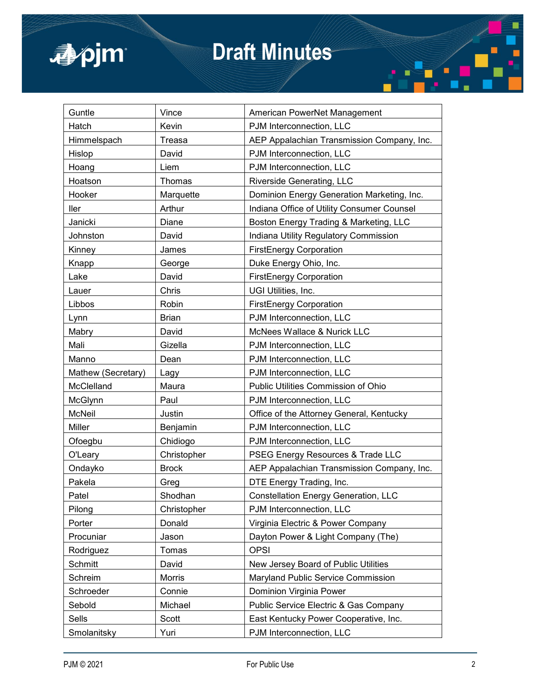

# **Draft Minutes**

| Guntle                                                 | Vince                                        | American PowerNet Management                |  |
|--------------------------------------------------------|----------------------------------------------|---------------------------------------------|--|
| Hatch                                                  | Kevin                                        | PJM Interconnection, LLC                    |  |
| Himmelspach                                            | Treasa                                       | AEP Appalachian Transmission Company, Inc.  |  |
| Hislop                                                 | David                                        | PJM Interconnection, LLC                    |  |
| Hoang                                                  | Liem                                         | PJM Interconnection, LLC                    |  |
| Hoatson                                                | Thomas                                       | Riverside Generating, LLC                   |  |
| Hooker                                                 | Marquette                                    | Dominion Energy Generation Marketing, Inc.  |  |
| ller                                                   | Arthur                                       | Indiana Office of Utility Consumer Counsel  |  |
| Janicki                                                | Diane                                        | Boston Energy Trading & Marketing, LLC      |  |
| Johnston                                               | David                                        | Indiana Utility Regulatory Commission       |  |
| Kinney                                                 | James                                        | <b>FirstEnergy Corporation</b>              |  |
| Knapp                                                  | George                                       | Duke Energy Ohio, Inc.                      |  |
| Lake                                                   | David                                        | <b>FirstEnergy Corporation</b>              |  |
| Lauer                                                  | Chris                                        | UGI Utilities, Inc.                         |  |
| Libbos                                                 | Robin                                        | <b>FirstEnergy Corporation</b>              |  |
| Lynn                                                   | <b>Brian</b>                                 | PJM Interconnection, LLC                    |  |
| Mabry                                                  | David                                        | McNees Wallace & Nurick LLC                 |  |
| Mali                                                   | Gizella<br>PJM Interconnection, LLC          |                                             |  |
| Manno                                                  | Dean                                         | PJM Interconnection, LLC                    |  |
| PJM Interconnection, LLC<br>Mathew (Secretary)<br>Lagy |                                              |                                             |  |
| McClelland                                             | Maura<br>Public Utilities Commission of Ohio |                                             |  |
| McGlynn                                                | Paul                                         | PJM Interconnection, LLC                    |  |
| <b>McNeil</b>                                          | Justin                                       | Office of the Attorney General, Kentucky    |  |
| Miller                                                 | Benjamin                                     | PJM Interconnection, LLC                    |  |
| Ofoegbu                                                | Chidiogo                                     | PJM Interconnection, LLC                    |  |
| O'Leary                                                | Christopher                                  | PSEG Energy Resources & Trade LLC           |  |
| Ondayko                                                | <b>Brock</b>                                 | AEP Appalachian Transmission Company, Inc.  |  |
| Pakela                                                 | Greg                                         | DTE Energy Trading, Inc.                    |  |
| Patel                                                  | Shodhan                                      | <b>Constellation Energy Generation, LLC</b> |  |
| Pilong                                                 | Christopher                                  | PJM Interconnection, LLC                    |  |
| Porter                                                 | Donald                                       | Virginia Electric & Power Company           |  |
| Procuniar                                              | Jason                                        | Dayton Power & Light Company (The)          |  |
| Rodriguez                                              | Tomas                                        | <b>OPSI</b>                                 |  |
| Schmitt                                                | David                                        | New Jersey Board of Public Utilities        |  |
| Schreim                                                | Morris                                       | Maryland Public Service Commission          |  |
| Schroeder                                              | Connie                                       | Dominion Virginia Power                     |  |
| Sebold                                                 | Michael                                      | Public Service Electric & Gas Company       |  |
| Sells                                                  | Scott                                        | East Kentucky Power Cooperative, Inc.       |  |
| Smolanitsky                                            | Yuri                                         | PJM Interconnection, LLC                    |  |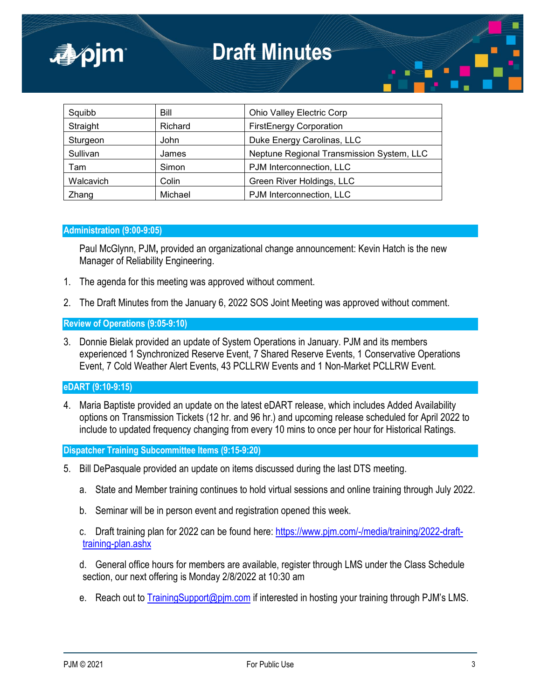| Squibb    | Bill    | Ohio Valley Electric Corp                 |
|-----------|---------|-------------------------------------------|
| Straight  | Richard | <b>FirstEnergy Corporation</b>            |
| Sturgeon  | John    | Duke Energy Carolinas, LLC                |
| Sullivan  | James   | Neptune Regional Transmission System, LLC |
| Tam       | Simon   | PJM Interconnection, LLC                  |
| Walcavich | Colin   | Green River Holdings, LLC                 |
| Zhang     | Michael | PJM Interconnection, LLC                  |

# **Administration (9:00-9:05)**

■pjm

Paul McGlynn, PJM**,** provided an organizational change announcement: Kevin Hatch is the new Manager of Reliability Engineering.

- 1. The agenda for this meeting was approved without comment.
- 2. The Draft Minutes from the January 6, 2022 SOS Joint Meeting was approved without comment.

**Review of Operations (9:05-9:10)**

3. Donnie Bielak provided an update of System Operations in January. PJM and its members experienced 1 Synchronized Reserve Event, 7 Shared Reserve Events, 1 Conservative Operations Event, 7 Cold Weather Alert Events, 43 PCLLRW Events and 1 Non-Market PCLLRW Event.

**eDART (9:10-9:15)**

4. Maria Baptiste provided an update on the latest eDART release, which includes Added Availability options on Transmission Tickets (12 hr. and 96 hr.) and upcoming release scheduled for April 2022 to include to updated frequency changing from every 10 mins to once per hour for Historical Ratings.

**Dispatcher Training Subcommittee Items (9:15-9:20)**

- 5. Bill DePasquale provided an update on items discussed during the last DTS meeting.
	- a. State and Member training continues to hold virtual sessions and online training through July 2022.
	- b. Seminar will be in person event and registration opened this week.

c. Draft training plan for 2022 can be found here: [https://www.pjm.com/-/media/training/2022-draft](https://www.pjm.com/-/media/training/2022-draft-training-plan.ashx)[training-plan.ashx](https://www.pjm.com/-/media/training/2022-draft-training-plan.ashx)

d. General office hours for members are available, register through LMS under the Class Schedule section, our next offering is Monday 2/8/2022 at 10:30 am

e. Reach out to [TrainingSupport@pjm.com](mailto:TrainingSupport@pjm.com) if interested in hosting your training through PJM's LMS.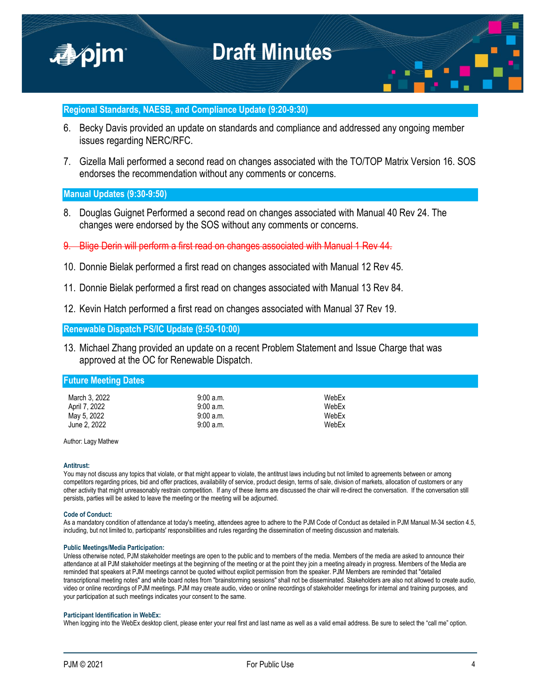

### **Regional Standards, NAESB, and Compliance Update (9:20-9:30)**

- 6. Becky Davis provided an update on standards and compliance and addressed any ongoing member issues regarding NERC/RFC.
- 7. Gizella Mali performed a second read on changes associated with the TO/TOP Matrix Version 16. SOS endorses the recommendation without any comments or concerns.

## **Manual Updates (9:30-9:50)**

- 8. Douglas Guignet Performed a second read on changes associated with Manual 40 Rev 24. The changes were endorsed by the SOS without any comments or concerns.
- 9. Blige Derin will perform a first read on changes associated with Manual 1 Rev 44.
- 10. Donnie Bielak performed a first read on changes associated with Manual 12 Rev 45.
- 11. Donnie Bielak performed a first read on changes associated with Manual 13 Rev 84.
- 12. Kevin Hatch performed a first read on changes associated with Manual 37 Rev 19.

#### **Renewable Dispatch PS/IC Update (9:50-10:00)**

13. Michael Zhang provided an update on a recent Problem Statement and Issue Charge that was approved at the OC for Renewable Dispatch.

### **Future Meeting Dates**

| March 3, 2022 | 9:00 a.m. | WebEx |
|---------------|-----------|-------|
| April 7, 2022 | 9:00a.m.  | WebEx |
| May 5, 2022   | 9:00a.m.  | WebEx |
| June 2, 2022  | 9:00a.m.  | WebEx |

Author: Lagy Mathew

#### **Antitrust:**

You may not discuss any topics that violate, or that might appear to violate, the antitrust laws including but not limited to agreements between or among competitors regarding prices, bid and offer practices, availability of service, product design, terms of sale, division of markets, allocation of customers or any other activity that might unreasonably restrain competition. If any of these items are discussed the chair will re-direct the conversation. If the conversation still persists, parties will be asked to leave the meeting or the meeting will be adjourned.

#### **Code of Conduct:**

As a mandatory condition of attendance at today's meeting, attendees agree to adhere to the PJM Code of Conduct as detailed in PJM Manual M-34 section 4.5, including, but not limited to, participants' responsibilities and rules regarding the dissemination of meeting discussion and materials.

#### **Public Meetings/Media Participation:**

Unless otherwise noted, PJM stakeholder meetings are open to the public and to members of the media. Members of the media are asked to announce their attendance at all PJM stakeholder meetings at the beginning of the meeting or at the point they join a meeting already in progress. Members of the Media are reminded that speakers at PJM meetings cannot be quoted without explicit permission from the speaker. PJM Members are reminded that "detailed transcriptional meeting notes" and white board notes from "brainstorming sessions" shall not be disseminated. Stakeholders are also not allowed to create audio, video or online recordings of PJM meetings. PJM may create audio, video or online recordings of stakeholder meetings for internal and training purposes, and your participation at such meetings indicates your consent to the same.

#### **Participant Identification in WebEx:**

When logging into the WebEx desktop client, please enter your real first and last name as well as a valid email address. Be sure to select the "call me" option.